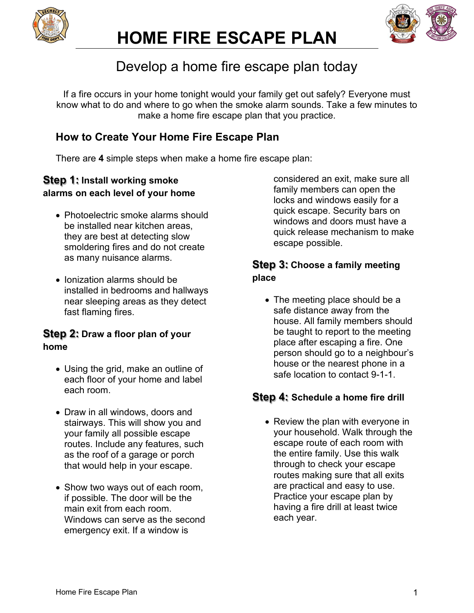



## Develop a home fire escape plan today

If a fire occurs in your home tonight would your family get out safely? Everyone must know what to do and where to go when the smoke alarm sounds. Take a few minutes to make a home fire escape plan that you practice.

### **How to Create Your Home Fire Escape Plan**

There are **4** simple steps when make a home fire escape plan:

#### **Step 1: Install working smoke alarms on each level of your home**

- Photoelectric smoke alarms should be installed near kitchen areas, they are best at detecting slow smoldering fires and do not create as many nuisance alarms.
- Ionization alarms should be installed in bedrooms and hallways near sleeping areas as they detect fast flaming fires.

#### **Step 2: Draw a floor plan of your home**

- Using the grid, make an outline of each floor of your home and label each room.
- Draw in all windows, doors and stairways. This will show you and your family all possible escape routes. Include any features, such as the roof of a garage or porch that would help in your escape.
- Show two ways out of each room, if possible. The door will be the main exit from each room. Windows can serve as the second emergency exit. If a window is

considered an exit, make sure all family members can open the locks and windows easily for a quick escape. Security bars on windows and doors must have a quick release mechanism to make escape possible.

#### **Step 3: Choose a family meeting place**

• The meeting place should be a safe distance away from the house. All family members should be taught to report to the meeting place after escaping a fire. One person should go to a neighbour's house or the nearest phone in a safe location to contact 9-1-1.

#### **Step 4: Schedule a home fire drill**

• Review the plan with everyone in your household. Walk through the escape route of each room with the entire family. Use this walk through to check your escape routes making sure that all exits are practical and easy to use. Practice your escape plan by having a fire drill at least twice each year.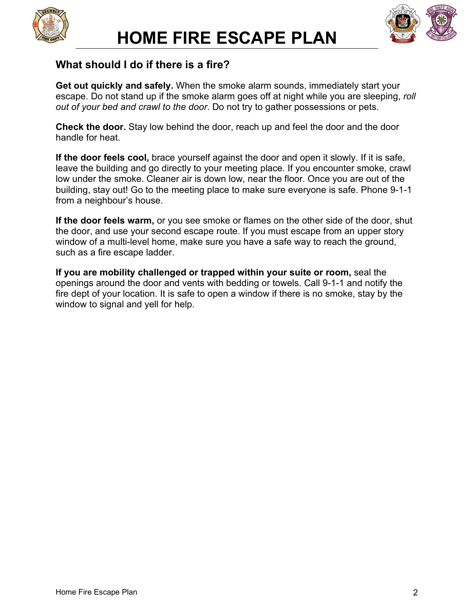



#### **What should I do if there is a fire?**

**Get out quickly and safely.** When the smoke alarm sounds, immediately start your escape. Do not stand up if the smoke alarm goes off at night while you are sleeping, *roll out of your bed and crawl to the door*. Do not try to gather possessions or pets.

**Check the door.** Stay low behind the door, reach up and feel the door and the door handle for heat.

**If the door feels cool,** brace yourself against the door and open it slowly. If it is safe, leave the building and go directly to your meeting place. If you encounter smoke, crawl low under the smoke. Cleaner air is down low, near the floor. Once you are out of the building, stay out! Go to the meeting place to make sure everyone is safe. Phone 9-1-1 from a neighbour's house.

**If the door feels warm,** or you see smoke or flames on the other side of the door, shut the door, and use your second escape route. If you must escape from an upper story window of a multi-level home, make sure you have a safe way to reach the ground, such as a fire escape ladder.

**If you are mobility challenged or trapped within your suite or room,** seal the openings around the door and vents with bedding or towels. Call 9-1-1 and notify the fire dept of your location. It is safe to open a window if there is no smoke, stay by the window to signal and yell for help.